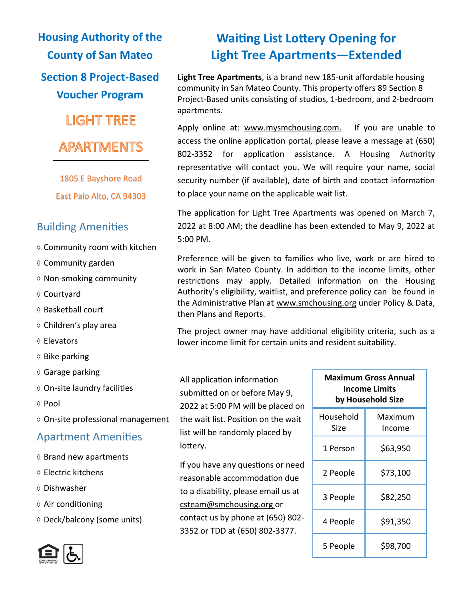**Housing Authority of the County of San Mateo Section 8 Project-Based Voucher Program LIGHT TREE APARTMENTS** 

> 1805 E Bayshore Road East Palo Alto, CA 94303

# Building Amenities

- $\diamond$  Community room with kitchen
- $\diamond$  Community garden
- $\diamond$  Non-smoking community
- ♦ Courtyard
- ♦ Basketball court
- $\diamond$  Children's play area
- Elevators
- $\diamond$  Bike parking
- Garage parking
- On-site laundry facilities
- ◊ Pool
- On-site professional management

## Apartment Amenities

- $\diamond$  Brand new apartments
- Electric kitchens
- Dishwasher
- $\Diamond$  Air conditioning
- $\Diamond$  Deck/balcony (some units)

# **Waiting List Lottery Opening for Light Tree Apartments—Extended**

**Light Tree Apartments**, is a brand new 185-unit affordable housing community in San Mateo County. This property offers 89 Section 8 Project-Based units consisting of studios, 1-bedroom, and 2-bedroom apartments.

Apply online at: www.mysmchousing.com. If you are unable to access the online application portal, please leave a message at (650) 802-3352 for application assistance. A Housing Authority representative will contact you. We will require your name, social security number (if available), date of birth and contact information to place your name on the applicable wait list.

The application for Light Tree Apartments was opened on March 7, 2022 at 8:00 AM; the deadline has been extended to May 9, 2022 at 5:00 PM.

Preference will be given to families who live, work or are hired to work in San Mateo County. In addition to the income limits, other restrictions may apply. Detailed information on the Housing Authority's eligibility, waitlist, and preference policy can be found in the Administrative Plan at www.smchousing.org under Policy & Data, then Plans and Reports.

The project owner may have additional eligibility criteria, such as a lower income limit for certain units and resident suitability.

All application information submitted on or before May 9, 2022 at 5:00 PM will be placed on the wait list. Position on the wait list will be randomly placed by lottery.

If you have any questions or need reasonable accommodation due to a disability, please email us at csteam@smchousing.org or contact us by phone at (650) 802- 3352 or TDD at (650) 802-3377.

| Maximum Gross Annual<br>Income Limits<br>by Household Size |                   |
|------------------------------------------------------------|-------------------|
| Household<br>Size                                          | Maximum<br>Income |
| 1 Person                                                   | \$63,950          |
| 2 People                                                   | \$73,100          |
| 3 People                                                   | \$82,250          |
| 4 People                                                   | \$91,350          |
| 5 People                                                   | \$98,700          |

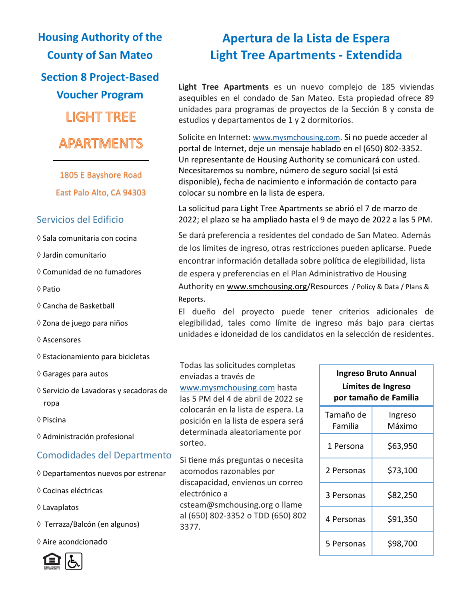**Housing Authority of the County of San Mateo Section 8 Project-Based Voucher Program LIGHT TREE APARTMENTS** 

> 1805 E Bayshore Road East Palo Alto, CA 94303

#### Servicios del Edificio

- $\diamond$  Sala comunitaria con cocina
- Jardin comunitario
- Comunidad de no fumadores
- $\Diamond$  Patio
- Cancha de Basketball
- ◇ Zona de juego para niños
- Ascensores
- $\Diamond$  Estacionamiento para bicicletas
- $\diamond$  Garages para autos
- Servicio de Lavadoras y secadoras de ropa
- Piscina
- Administración profesional

#### Comodidades del Departmento

- $\Diamond$  Departamentos nuevos por estrenar
- Cocinas eléctricas
- Lavaplatos
- Terraza/Balcón (en algunos)
- Aire acondcionado



# **Apertura de la Lista de Espera Light Tree Apartments - Extendida**

**Light Tree Apartments** es un nuevo complejo de 185 viviendas asequibles en el condado de San Mateo. Esta propiedad ofrece 89 unidades para programas de proyectos de la Sección 8 y consta de estudios y departamentos de 1 y 2 dormitorios.

Solicite en Internet: [www.mysmchousing.com](http://www.mysmchousing.com). Si no puede acceder al portal de Internet, deje un mensaje hablado en el (650) 802-3352. Un representante de Housing Authority se comunicará con usted. Necesitaremos su nombre, número de seguro social (si está disponible), fecha de nacimiento e información de contacto para colocar su nombre en la lista de espera.

La solicitud para Light Tree Apartments se abrió el 7 de marzo de 2022; el plazo se ha ampliado hasta el 9 de mayo de 2022 a las 5 PM.

Se dará preferencia a residentes del condado de San Mateo. Además de los límites de ingreso, otras restricciones pueden aplicarse. Puede encontrar información detallada sobre política de elegibilidad, lista de espera y preferencias en el Plan Administrativo de Housing Authority en www.smchousing.org/Resources / Policy & Data / Plans & Reports.

El dueño del proyecto puede tener criterios adicionales de elegibilidad, tales como límite de ingreso más bajo para ciertas unidades e idoneidad de los candidatos en la selección de residentes.

Todas las solicitudes completas enviadas a través de [www.mysmchousing.com](http://www.mysmchousing.com) hasta las 5 PM del 4 de abril de 2022 se colocarán en la lista de espera. La posición en la lista de espera será determinada aleatoriamente por sorteo.

Si tiene más preguntas o necesita acomodos razonables por discapacidad, envíenos un correo electrónico a csteam@smchousing.org o llame al (650) 802-3352 o TDD (650) 802 3377.

| Ingreso Bruto Annual<br>Límites de Ingreso<br>por tamaño de Familia |                   |
|---------------------------------------------------------------------|-------------------|
| Tamaño de<br>Familia                                                | Ingreso<br>Máximo |
| 1 Persona                                                           | \$63,950          |
| 2 Personas                                                          | \$73,100          |
| 3 Personas                                                          | \$82,250          |
| 4 Personas                                                          | \$91,350          |
| 5 Personas                                                          | \$98,700          |